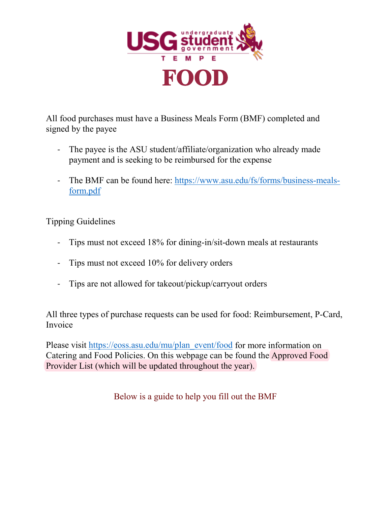

All food purchases must have a Business Meals Form (BMF) completed and signed by the payee

- The payee is the ASU student/affiliate/organization who already made payment and is seeking to be reimbursed for the expense
- The BMF can be found here: [https://www.asu.edu/fs/forms/business-meals](https://www.asu.edu/fs/forms/business-meals-form.pdf)[form.pdf](https://www.asu.edu/fs/forms/business-meals-form.pdf)

Tipping Guidelines

- Tips must not exceed 18% for dining-in/sit-down meals at restaurants
- Tips must not exceed 10% for delivery orders
- Tips are not allowed for takeout/pickup/carryout orders

All three types of purchase requests can be used for food: Reimbursement, P-Card, Invoice

Please visit [https://eoss.asu.edu/mu/plan\\_event/food](https://eoss.asu.edu/mu/plan_event/food) for more information on Catering and Food Policies. On this webpage can be found the Approved Food Provider List (which will be updated throughout the year).

Below is a guide to help you fill out the BMF